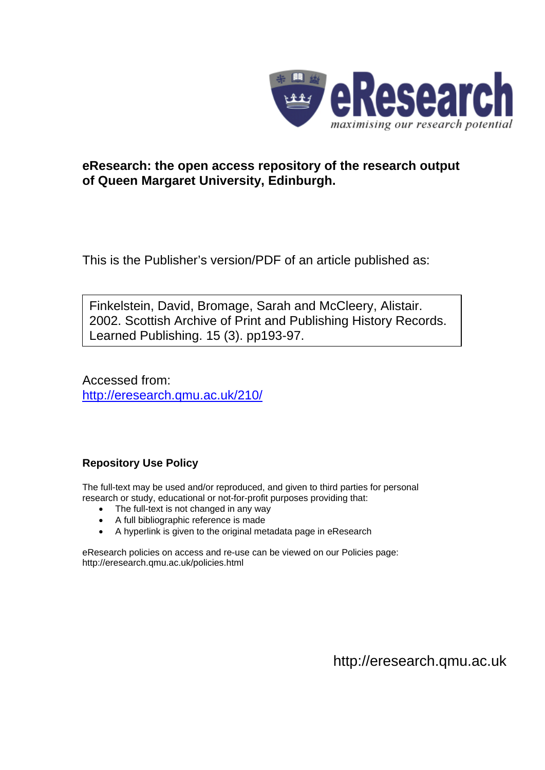

## **eResearch: the open access repository of the research output of Queen Margaret University, Edinburgh.**

This is the Publisher's version/PDF of an article published as:

Finkelstein, David, Bromage, Sarah and McCleery, Alistair. 2002. Scottish Archive of Print and Publishing History Records. Learned Publishing. 15 (3). pp193-97.

Accessed from: <http://eresearch.qmu.ac.uk/210/>

### **Repository Use Policy**

The full-text may be used and/or reproduced, and given to third parties for personal research or study, educational or not-for-profit purposes providing that:

- The full-text is not changed in any way
- A full bibliographic reference is made
- A hyperlink is given to the original metadata page in eResearch

eResearch policies on access and re-use can be viewed on our Policies page: <http://eresearch.qmu.ac.uk/policies.html>

[http://eresearch.qmu.ac.uk](http://eresearch.qmu.ac.uk/)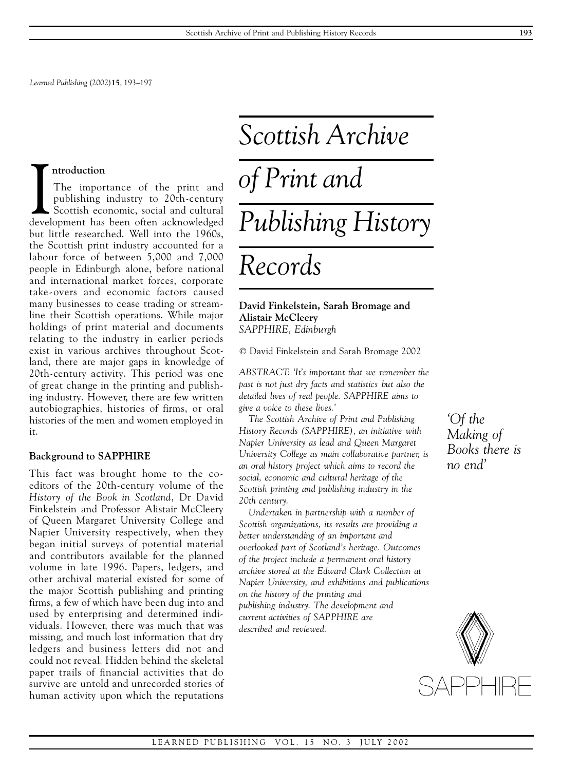*Learned Publishing* (2002)**15**, 193–197

#### **ntroduction**

Introduction<br>
The importance of the print and<br>
publishing industry to 20th-century<br>
Scottish economic, social and cultural<br>
development has been often acknowledged The importance of the print and publishing industry to 20th-century Scottish economic, social and cultural but little researched. Well into the 1960s, the Scottish print industry accounted for a labour force of between 5,000 and 7,000 people in Edinburgh alone, before national and international market forces, corporate take-overs and economic factors caused many businesses to cease trading or streamline their Scottish operations. While major holdings of print material and documents relating to the industry in earlier periods exist in various archives throughout Scotland, there are major gaps in knowledge of 20th-century activity. This period was one of great change in the printing and publishing industry. However, there are few written autobiographies, histories of firms, or oral histories of the men and women employed in it.

#### **Background to SAPPHIRE**

This fact was brought home to the co editors of the 20th-century volume of the *History of the Book in Scotland*, Dr David Finkelstein and Professor Alistair McCleery of Queen Margaret University College and Napier University respectively, when they began initial surveys of potential material and contributors available for the planned volume in late 1996. Papers, ledgers, and other archival material existed for some of the major Scottish publishing and printing firms, a few of which have been dug into and used by enterprising and determined individuals. However, there was much that was missing, and much lost information that dry ledgers and business letters did not and could not reveal. Hidden behind the skeletal paper trails of financial activities that do survive are untold and unrecorded stories of human activity upon which the reputations

# *Scottish Archive of Print and*

# *Publishing History*

# *Records*

#### **David Finkelstein, Sarah Bromage and Alistair McCleery** *SAPPHIRE, Edinburgh*

© David Finkelstein and Sarah Bromage 2002

*ABSTRACT: 'It's important that we remember the past is not just dry facts and statistics but also the detailed lives of real people. SAPPHIRE aims to give a voice to these lives.'*

*The Scottish Archive of Print and Publishing History Records (SAPPHIRE), an initiative with Napier University as lead and Queen Margaret University College as main collaborative partner, is an oral history project which aims to record the social, economic and cultural heritage of the Scottish printing and publishing industry in the 20th century.*

*Undertaken in partnership with a number of Scottish organizations, its results are providing a better understanding of an important and overlooked part of Scotland's heritage. Outcomes of the project include a permanent oral history archive stored at the Edward Clark Collection at Napier University, and exhibitions and publications on the history of the printing and publishing industry. The development and current activities of SAPPHIRE are described and reviewed.*

*'Of the Making of Books there is no end'*

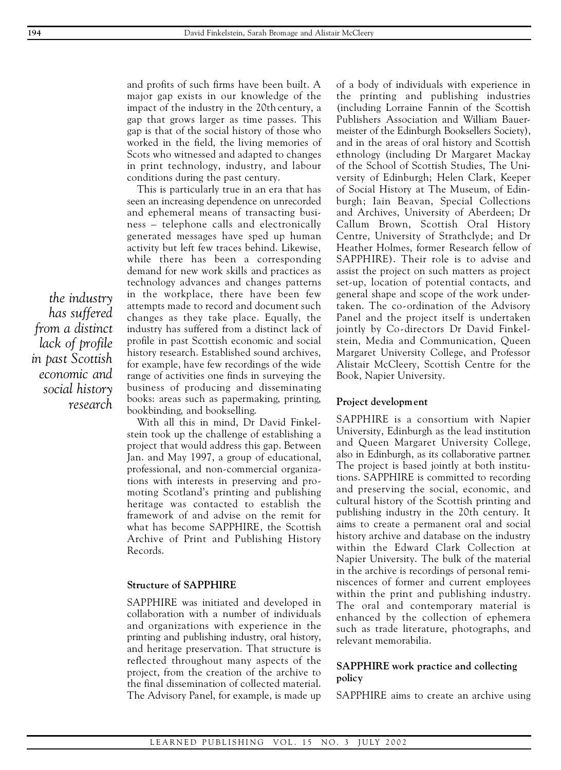and profits of such firms have been built. A major gap exists in our knowledge of the impact of the industry in the 20th century, a gap that grows larger as time passes. This gap is that of the social history of those who worked in the field, the living memories of Scots who witnessed and adapted to changes in print technology, industry, and labour conditions during the past century.

This is particularly true in an era that has seen an increasing dependence on unrecorded and ephemeral means of transacting business – telephone calls and electronically generated messages have sped up human activity but left few traces behind. Likewise, while there has been a corresponding demand for new work skills and practices as technology advances and changes patterns in the workplace, there have been few attempts made to record and document such changes as they take place. Equally, the industry has suffered from a distinct lack of profile in past Scottish economic and social history research. Established sound archives, for example, have few recordings of the wide range of activities one finds in surveying the business of producing and disseminating books: areas such as papermaking, printing, bookbinding, and bookselling.

With all this in mind, Dr David Finkelstein took up the challenge of establishing a project that would address this gap. Between Jan. and May 1997, a group of educational, professional, and non-commercial organizations with interests in preserving and pro moting Scotland's printing and publishing heritage was contacted to establish the framework of and advise on the remit for what has become SAPPHIRE, the Scottish Archive of Print and Publishing History Records.

#### **Structure of SAPPHIRE**

SAPPHIRE was initiated and developed in collaboration with a number of individuals and organizations with experience in the printing and publishing industry, oral history, and heritage preservation. That structure is reflected throughout many aspects of the project, from the creation of the archive to the final dissemination of collected material. The Advisory Panel, for example, is made up

of a body of individuals with experience in the printing and publishing industries (including Lorraine Fannin of the Scottish Publishers Association and William Bauermeister of the Edinburgh Booksellers Society), and in the areas of oral history and Scottish ethnology (including Dr Margaret Mackay of the School of Scottish Studies, The University of Edinburgh; Helen Clark, Keeper of Social History at The Museum, of Edinburgh; Iain Beavan, Special Collections and Archives, University of Aberdeen; Dr Callum Brown, Scottish Oral History Centre, University of Strathclyde; and Dr Heather Holmes, former Research fellow of SAPPHIRE). Their role is to advise and assist the project on such matters as project set-up, location of potential contacts, and general shape and scope of the work undertaken. The co-ordination of the Advisory Panel and the project itself is undertaken jointly by Co-directors Dr David Finkelstein, Media and Communication, Queen Margaret University College, and Professor Alistair McCleery, Scottish Centre for the Book, Napier University.

#### **Project development**

SAPPHIRE is a consortium with Napier University, Edinburgh as the lead institution and Queen Margaret University College, also in Edinburgh, as its collaborative partner. The project is based jointly at both institutions. SAPPHIRE is committed to recording and preserving the social, economic, and cultural history of the Scottish printing and publishing industry in the 20th century. It aims to create a permanent oral and social history archive and database on the industry within the Edward Clark Collection at Napier University. The bulk of the material in the archive is recordings of personal reminiscences of former and current employees within the print and publishing industry. The oral and contemporary material is enhanced by the collection of ephemera such as trade literature, photographs, and relevant memorabilia.

#### **SAPPHIRE work practice and collecting policy**

SAPPHIRE aims to create an archive using

*the industry has suffered from a distinct lack of profile in past Scottish economic and social history research*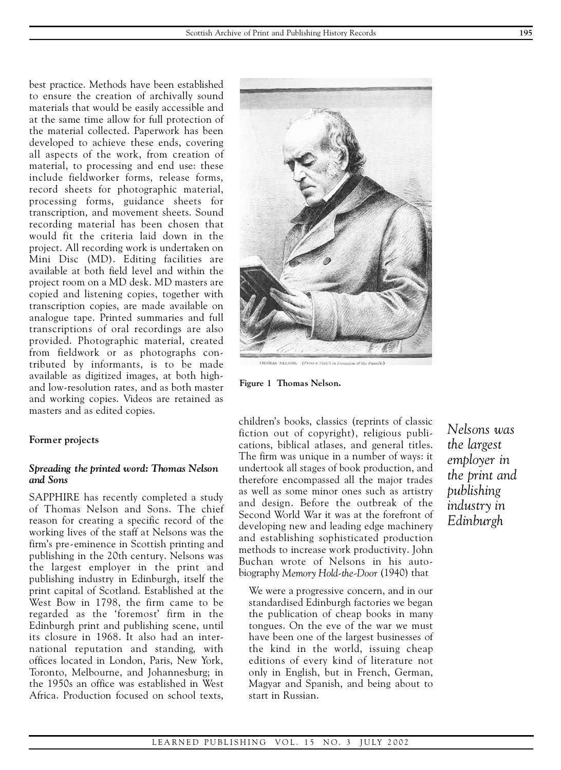best practice. Methods have been established to ensure the creation of archivally sound materials that would be easily accessible and at the same time allow for full protection of the material collected. Paperwork has been developed to achieve these ends, covering all aspects of the work, from creation of material, to processing and end use: these include fieldworker forms, release forms, record sheets for photographic material, processing forms, guidance sheets for transcription, and movement sheets. Sound recording material has been chosen that would fit the criteria laid down in the project. All recording work is undertaken on Mini Disc (MD). Editing facilities are available at both field level and within the project room on a MD desk. MD masters are copied and listening copies, together with transcription copies, are made available on analogue tape. Printed summaries and full transcriptions of oral recordings are also provided. Photographic material, created from fieldwork or as photographs contributed by informants, is to be made available as digitized images, at both highand low-resolution rates, and as both master and working copies. Videos are retained as masters and as edited copies.

#### **Former projects**

#### *Spreading the printed word: Thomas Nelson and Sons*

SAPPHIRE has recently completed a study of Thomas Nelson and Sons. The chief reason for creating a specific record of the working lives of the staff at Nelsons was the firm's pre-eminence in Scottish printing and publishing in the 20th century. Nelsons was the largest employer in the print and publishing industry in Edinburgh, itself the print capital of Scotland. Established at the West Bow in 1798, the firm came to be regarded as the 'foremost' firm in the Edinburgh print and publishing scene, until its closure in 1968. It also had an international reputation and standing, with offices located in London, Paris, New York, Toronto, Melbourne, and Johannesburg; in the 1950s an office was established in West Africa. Production focused on school texts,



THOMAS NELSON. (From a Sketch in possession of the Family.)

**Figure 1 Thomas Nelson.**

children's books, classics (reprints of classic fiction out of copyright), religious publications, biblical atlases, and general titles. The firm was unique in a number of ways: it undertook all stages of book production, and therefore encompassed all the major trades as well as some minor ones such as artistry and design. Before the outbreak of the Second World War it was at the forefront of developing new and leading edge machinery and establishing sophisticated production methods to increase work productivity. John Buchan wrote of Nelsons in his auto biography *Memory Hold-the-Door* (1940) that

We were a progressive concern, and in our standardised Edinburgh factories we began the publication of cheap books in many tongues. On the eve of the war we must have been one of the largest businesses of the kind in the world, issuing cheap editions of every kind of literature not only in English, but in French, German, Magyar and Spanish, and being about to start in Russian.

*Nelsons was the largest employer in the print and publishing industry in Edinburgh*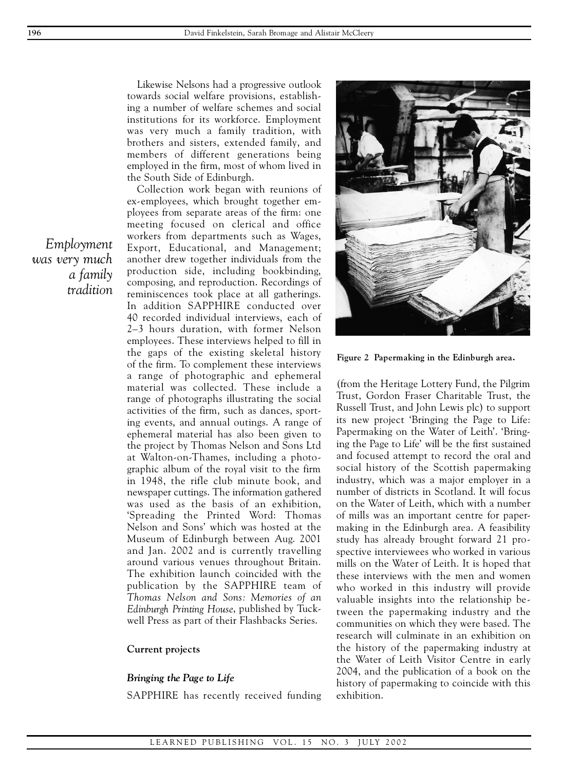Likewise Nelsons had a progressive outlook towards social welfare provisions, establishing a number of welfare schemes and social institutions for its workforce. Employment was very much a family tradition, with brothers and sisters, extended family, and members of different generations being employed in the firm, most of whom lived in the South Side of Edinburgh.

Collection work began with reunions of ex-employees, which brought together employees from separate areas of the firm: one meeting focused on clerical and office workers from departments such as Wages, Export, Educational, and Management; another drew together individuals from the production side, including bookbinding, composing, and reproduction. Recordings of reminiscences took place at all gatherings. In addition SAPPHIRE conducted over 40 recorded individual interviews, each of 2–3 hours duration, with former Nelson employees. These interviews helped to fill in the gaps of the existing skeletal history of the firm. To complement these interviews a range of photographic and ephemeral material was collected. These include a range of photographs illustrating the social activities of the firm, such as dances, sporting events, and annual outings. A range of ephemeral material has also been given to the project by Thomas Nelson and Sons Ltd at Walton-on-Thames, including a photo graphic album of the royal visit to the firm in 1948, the rifle club minute book, and newspaper cuttings. The information gathered was used as the basis of an exhibition, 'Spreading the Printed Word: Thomas Nelson and Sons' which was hosted at the Museum of Edinburgh between Aug. 2001 and Jan. 2002 and is currently travelling around various venues throughout Britain. The exhibition launch coincided with the publication by the SAPPHIRE team of *Thomas Nelson and Sons: Memories of an Edinburgh Printing House*, published by Tuckwell Press as part of their Flashbacks Series.

#### **Current projects**

#### *Bringing the Page to Life*

SAPPHIRE has recently received funding



**Figure 2 Papermaking in the Edinburgh area.**

(from the Heritage Lottery Fund, the Pilgrim Trust, Gordon Fraser Charitable Trust, the Russell Trust, and John Lewis plc) to support its new project 'Bringing the Page to Life: Papermaking on the Water of Leith'. 'Bringing the Page to Life' will be the first sustained and focused attempt to record the oral and social history of the Scottish papermaking industry, which was a major employer in a number of districts in Scotland. It will focus on the Water of Leith, which with a number of mills was an important centre for papermaking in the Edinburgh area. A feasibility study has already brought forward 21 prospective interviewees who worked in various mills on the Water of Leith. It is hoped that these interviews with the men and women who worked in this industry will provide valuable insights into the relationship between the papermaking industry and the communities on which they were based. The research will culminate in an exhibition on the history of the papermaking industry at the Water of Leith Visitor Centre in early 2004, and the publication of a book on the history of papermaking to coincide with this exhibition.

*Employment was very much a family tradition*